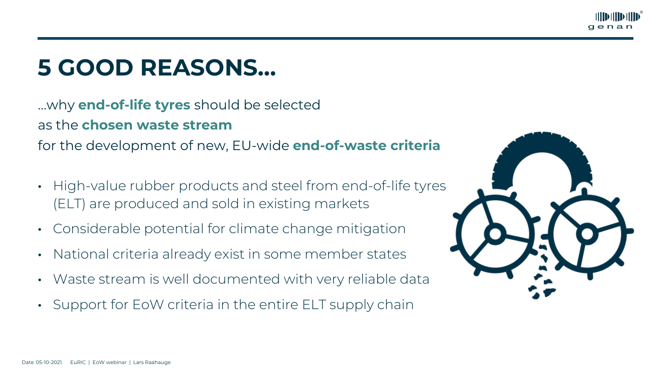# **5 GOOD REASONS…**

…why **end-of-life tyres** should be selected as the **chosen waste stream** for the development of new, EU-wide **end-of-waste criteria**





- High-value rubber products and steel from end-of-life tyres (ELT) are produced and sold in existing markets
- Considerable potential for climate change mitigation
- National criteria already exist in some member states
- Waste stream is well documented with very reliable data
- Support for EoW criteria in the entire ELT supply chain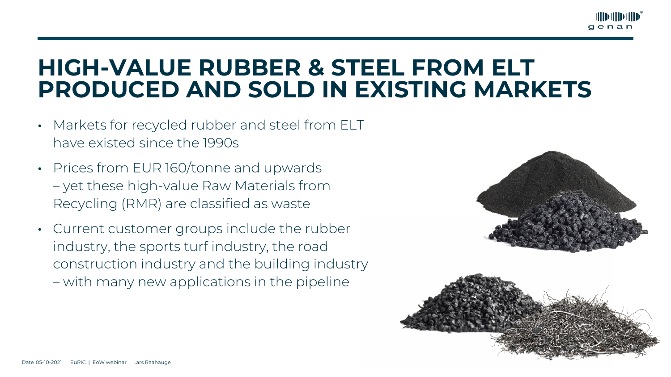## **HIGH-VALUE RUBBER & STEEL FROM ELT PRODUCED AND SOLD IN EXISTING MARKETS**





- Markets for recycled rubber and steel from ELT have existed since the 1990s
- Prices from EUR 160/tonne and upwards – yet these high-value Raw Materials from Recycling (RMR) are classified as waste
- Current customer groups include the rubber industry, the sports turf industry, the road construction industry and the building industry – with many new applications in the pipeline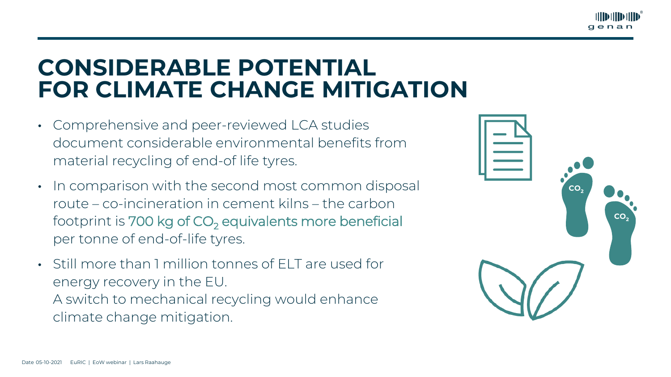# **CONSIDERABLE POTENTIAL FOR CLIMATE CHANGE MITIGATION**



**CO** 

**CO.** 



- Comprehensive and peer-reviewed LCA studies document considerable environmental benefits from material recycling of end-of life tyres.
- In comparison with the second most common disposal route – co-incineration in cement kilns – the carbon footprint is 700 kg of CO<sub>2</sub> equivalents more beneficial per tonne of end-of-life tyres.
- Still more than 1 million tonnes of ELT are used for energy recovery in the EU. A switch to mechanical recycling would enhance climate change mitigation.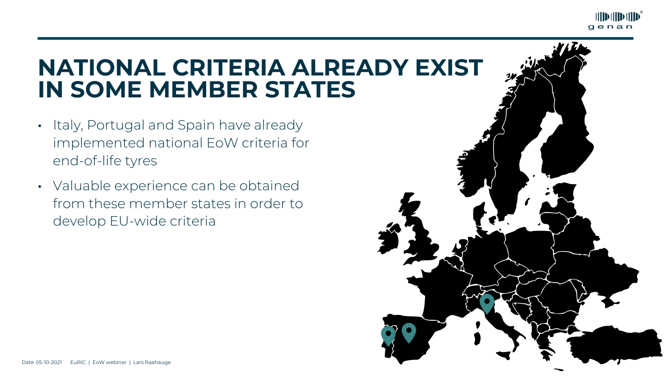## **NATIONAL CRITERIA ALREADY EXIST IN SOME MEMBER STATES**





- Italy, Portugal and Spain have already implemented national EoW criteria for end-of-life tyres
- Valuable experience can be obtained from these member states in order to develop EU-wide criteria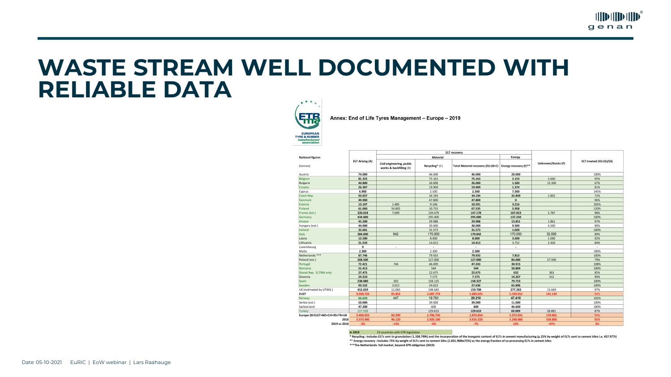### **WASTE STREAM WELL DOCUMENTED WITH RELIABLE DATA**



nanufacturers associat

| ational figures              | <b>ELT Arising (A)</b> |
|------------------------------|------------------------|
| onnes)                       |                        |
| ustria                       | 74.000                 |
| elgium                       | 81.325                 |
| ulgaria                      | 40.800                 |
| roatia                       | 26.307                 |
| yprus                        | 6.900                  |
| zech Rep.                    | 93.037                 |
| enmark                       | 49.900                 |
| stonia                       | 13.107                 |
| inland                       | 61.060                 |
| rance (est.)                 | 320.018                |
| ermany                       | 434.000                |
| reece                        | 45.200                 |
| ungary (est.)                | 44.000                 |
| eland                        | 32.601                 |
| aly                          | 384.000                |
| atvia                        | 12.500                 |
| thuania                      | 21.533                 |
| uxembourg                    | 0                      |
| 1alta                        | 2.300                  |
| etherlands ***               | 87.746                 |
| oland (est.)                 | 268.500                |
| ortugal                      | 72.421                 |
| omania                       | 51.413                 |
| ovak Rep. ELTMA only         | 27.475                 |
| lovenia                      | 24.310                 |
| pain                         | 238.080                |
| weden                        | 93.532                 |
| K (estimated by UTWG)        | 452.659                |
| U27                          | 3.058.724              |
| orway                        | 66.620                 |
| erbia (est.)                 | 50.000                 |
| witzerland                   | 47.200                 |
| urkey                        | 227.509                |
| urope 28 EU27+NO+CH+RS+TR+UK | 3.450.053              |
| 2018                         | 3.573.900              |
| 2019 ys 2018                 | $-3%$                  |

### in 2019

\* Recycling: includes ELTs sent to granulation (1.338.799t) and the incorporation of the inorganic content of ELTs in cement manufacturing (µ 25% by weight of ELTs sent to cement kilns i.e. 457.977t) \*\* Energy recovery : includes 75% by weight of ELTs sent to cement kilns (1.831.908tx75%) as the energy fraction of co-processing ELTs in cement kilns \*\*\*The Netherlands: full market, beyond EPR obligation (2019)



### Annex: End of Life Tyres Management - Europe - 2019

| <b>ELT recovery</b>                                  |                |                                   |                       |                    |                          |
|------------------------------------------------------|----------------|-----------------------------------|-----------------------|--------------------|--------------------------|
| Material                                             |                |                                   | <b>Energy</b>         |                    |                          |
| Civil engineering, public<br>works & backfilling (B) | Recycling* (C) | Total Material recovery (D)=(B+C) | Energy recovery (E)** | Unknown/Stocks (F) | ELT treated (H)=(G)/(A)  |
|                                                      | 46.000         | 46.000                            | 28.000                |                    | 100%                     |
|                                                      | 75.163         | 75.163                            | 2.153                 | 3.600              | 95%                      |
|                                                      | 26.000         | 26.000                            | 1.500                 | 13.300             | 67%                      |
|                                                      | 19.909         | 19.909                            | 1.374                 |                    | 81%                      |
|                                                      | 2.500          | 2.500                             | 7.500                 |                    | 145%                     |
|                                                      | 34.194         | 34.194                            | 32.849                | 2.802              | 72%                      |
|                                                      | 47.800         | 47.800                            | $\mathbf{0}$          |                    | 96%                      |
| 1.485                                                | 9.106          | 10.591                            | 3.216                 |                    | 105%                     |
| 56.802                                               | 10.733         | 67.535                            | 5.958                 |                    | 120%                     |
| 7.699                                                | 139.479        | 147.178                           | 167.053               | 5.787              | 98%                      |
|                                                      | 295.000        | 295.000                           | 137.250               |                    | 100%                     |
|                                                      | 29.988         | 29.988                            | 13.851                | 1.861              | 97%                      |
|                                                      | 30.000         | 30.000                            | 9.500                 | 4.500              | 90%                      |
|                                                      | 31.573         | 31.573                            | 1.028                 |                    | 100%                     |
| 842                                                  | 170.000        | 170.842                           | 170.000               | 32.000             | 89%                      |
|                                                      | 8.000          | 8.000                             | 3.500                 | 1.000              | 92%                      |
|                                                      | 14.413         | 14.413                            | 3.752                 | 2.426              | 84%                      |
| $\overline{\phantom{a}}$                             | $\blacksquare$ | $\blacksquare$                    | $\blacksquare$        |                    | $\overline{\phantom{a}}$ |
|                                                      | 2.300          | 2.300                             |                       |                    | 100%                     |
|                                                      | 79.933         | 79.933                            | 7.813                 |                    | 100%                     |
|                                                      | 127.000        | 127.000                           | 84.000                | 57.500             | 79%                      |
| 744                                                  | 46.499         | 47.243                            | 30.915                |                    | 108%                     |
|                                                      | 544            | 544                               | 50.869                |                    | 100%                     |
|                                                      | 22.675         | 22.675                            | 632                   | 363                | 85%                      |
|                                                      | 7.575          | 7.575                             | 14.267                | 312                | 90%                      |
| 202                                                  | 158.125        | 158.327                           | 79.753                |                    | 100%                     |
| 3.013                                                | 24.623         | 27.636                            | 65.896                |                    | 100%                     |
| 11.065                                               | 148.643        | 159.708                           | 277.283               | 15.669             | 97%                      |
| 81.852                                               | 1.607.774      | 1.689.625                         | 1.199.912             | 141.120            | 94%                      |
| 447                                                  | 19.763         | 20.210                            | 47.410                |                    | 102%                     |
|                                                      | 39.000         | 39.000                            | 11.000                |                    | 100%                     |
|                                                      | 600            | 600                               | 46.600                |                    | 100%                     |
|                                                      | 129.619        | 129.619                           | 69.009                | 28.881             | 87%                      |
| 82.299                                               | 1.796.756      | 1.879.054                         | 1.373.931             | 170.001            | 94%                      |
| 96.120                                               | 1.920.100      | 2.016.220                         | 1.248.880             | 318.800            | 91%                      |
| $-14%$                                               | $-6%$          | $-7%$                             | 10%                   | $-47%$             | 3%                       |

### 23 countries with EPR legislation